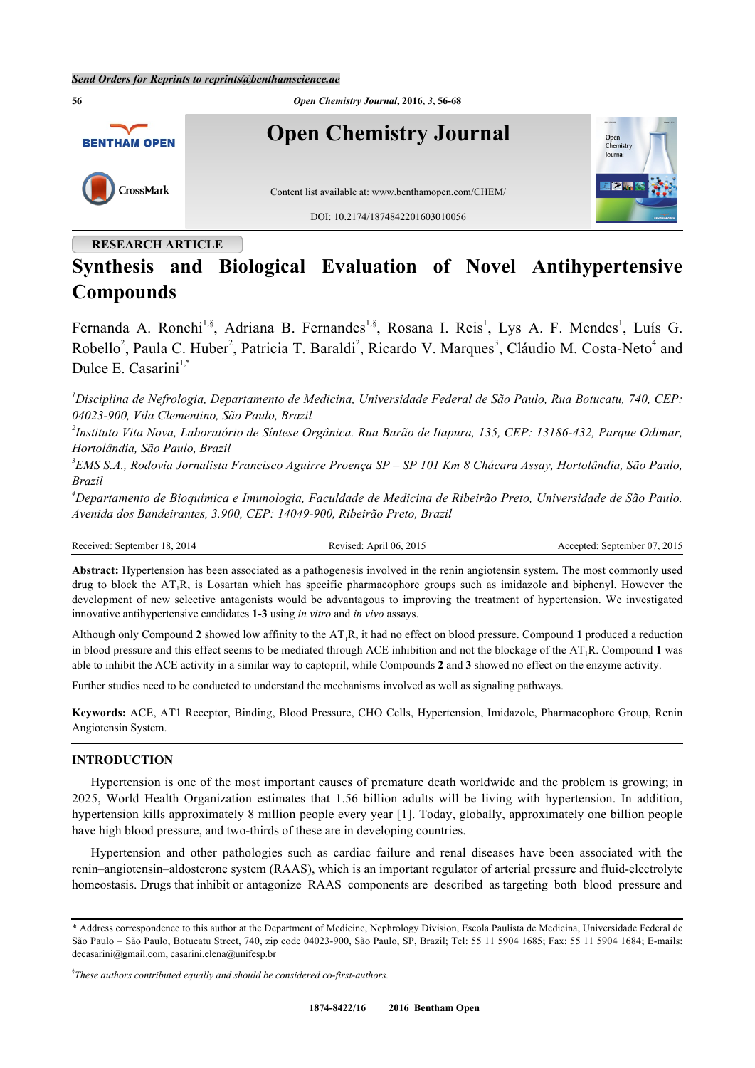

# **RESEARCH ARTICLE**

# **Synthesis and Biological Evaluation of Novel Antihypertensive Compounds**

Fernanda A. Ronchi<sup>[1](#page-0-0),§</sup>, Adriana B. Fernandes<sup>[1,](#page-0-0)§</sup>, Rosana I. Reis<sup>1</sup>, Lys A. F. Mendes<sup>1</sup>, Luís G. Robello<sup>[2](#page-0-1)</sup>, Paula C. Huber<sup>2</sup>, Patricia T. Baraldi<sup>2</sup>, Ricardo V. Marques<sup>[3](#page-0-2)</sup>, Cláudio M. Costa-Neto<sup>[4](#page-0-3)</sup> and Dulce E. Casarini $1,$ [\\*](#page-0-4)

<span id="page-0-0"></span>*<sup>1</sup>Disciplina de Nefrologia, Departamento de Medicina, Universidade Federal de São Paulo, Rua Botucatu, 740, CEP: 04023-900, Vila Clementino, São Paulo, Brazil*

<span id="page-0-1"></span>*2 Instituto Vita Nova, Laboratório de Síntese Orgânica. Rua Barão de Itapura, 135, CEP: 13186-432, Parque Odimar, Hortolândia, São Paulo, Brazil*

<span id="page-0-2"></span>*3 EMS S.A., Rodovia Jornalista Francisco Aguirre Proença SP – SP 101 Km 8 Chácara Assay, Hortolândia, São Paulo, Brazil*

<span id="page-0-3"></span>*<sup>4</sup>Departamento de Bioquímica e Imunologia, Faculdade de Medicina de Ribeirão Preto, Universidade de São Paulo. Avenida dos Bandeirantes, 3.900, CEP: 14049-900, Ribeirão Preto, Brazil*

Received: September 18, 2014 Revised: April 06, 2015 Accepted: September 07, 2015

**Abstract:** Hypertension has been associated as a pathogenesis involved in the renin angiotensin system. The most commonly used drug to block the  $AT_1R$ , is Losartan which has specific pharmacophore groups such as imidazole and biphenyl. However the development of new selective antagonists would be advantagous to improving the treatment of hypertension. We investigated innovative antihypertensive candidates **1-3** using *in vitro* and *in vivo* assays.

Although only Compound **2** showed low affinity to the AT1R, it had no effect on blood pressure. Compound **1** produced a reduction in blood pressure and this effect seems to be mediated through ACE inhibition and not the blockage of the AT1R. Compound **1** was able to inhibit the ACE activity in a similar way to captopril, while Compounds **2** and **3** showed no effect on the enzyme activity.

Further studies need to be conducted to understand the mechanisms involved as well as signaling pathways.

**Keywords:** ACE, AT1 Receptor, Binding, Blood Pressure, CHO Cells, Hypertension, Imidazole, Pharmacophore Group, Renin Angiotensin System.

# **INTRODUCTION**

Hypertension is one of the most important causes of premature death worldwide and the problem is growing; in 2025, World Health Organization estimates that 1.56 billion adults will be living with hypertension. In addition, hypertension kills approximately 8 million people every year [[1\]](#page-11-0). Today, globally, approximately one billion people have high blood pressure, and two-thirds of these are in developing countries.

Hypertension and other pathologies such as cardiac failure and renal diseases have been associated with the renin–angiotensin–aldosterone system (RAAS), which is an important regulator of arterial pressure and fluid-electrolyte homeostasis. Drugs that inhibit or antagonize RAAS components are described as targeting both blood pressure and

<span id="page-0-4"></span><sup>\*</sup> Address correspondence to this author at the Department of Medicine, Nephrology Division, Escola Paulista de Medicina, Universidade Federal de São Paulo – São Paulo, Botucatu Street, 740, zip code 04023-900, São Paulo, SP, Brazil; Tel: 55 11 5904 1685; Fax: 55 11 5904 1684; E-mails: [decasarini@gmail.com](mailto:decasarini@gmail.com), [casarini.elena@unifesp.br](mailto:casarini.elena@unifesp.br)

<sup>§</sup> *These authors contributed equally and should be considered co-first-authors.*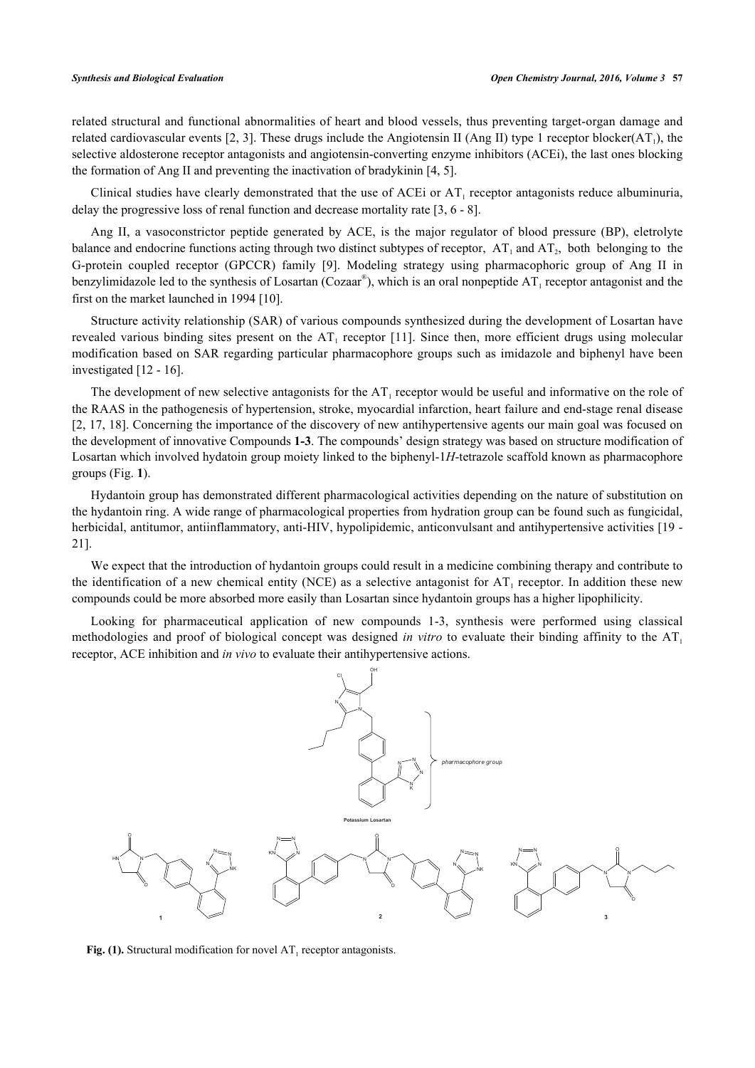related structural and functional abnormalities of heart and blood vessels, thus preventing target-organ damage and related cardiovascular events [[2](#page-11-1), [3](#page-11-2)]. These drugs include the Angiotensin II (Ang II) type 1 receptor blocker( $AT<sub>1</sub>$ ), the selective aldosterone receptor antagonists and angiotensin-converting enzyme inhibitors (ACEi), the last ones blocking the formation of Ang II and preventing the inactivation of bradykinin [[4,](#page-11-3) [5\]](#page-11-4).

Clinical studies have clearly demonstrated that the use of ACEi or  $AT_1$  receptor antagonists reduce albuminuria, delay the progressive loss of renal function and decrease mortality rate [3, 6 - 8].

Ang II, a vasoconstrictor peptide generated by ACE, is the major regulator of blood pressure (BP), eletrolyte balance and endocrine functions acting through two distinct subtypes of receptor,  $AT_1$  and  $AT_2$ , both belonging to the G-protein coupled receptor (GPCCR) family [9]. Modeling strategy using pharmacophoric group of Ang II in benzylimidazole led to the synthesis of Losartan (Cozaar®), which is an oral nonpeptide  $AT_1$  receptor antagonist and the first on the market launched in 1994 [10].

Structure activity relationship (SAR) of various compounds synthesized during the development of Losartan have revealed various binding sites present on the  $AT_1$  receptor [11]. Since then, more efficient drugs using molecular modification based on SAR regarding particular pharmacophore groups such as imidazole and biphenyl have been investigated [12 - 16].

The development of new selective antagonists for the  $AT_1$  receptor would be useful and informative on the role of the RAAS in the pathogenesis of hypertension, stroke, myocardial infarction, heart failure and end-stage renal disease [2, 17, 18]. Concerning the importance of the discovery of new antihypertensive agents our main goal was focused on the development of innovative Compounds **1-3**. The compounds' design strategy was based on structure modification of Losartan which involved hydatoin group moiety linked to the biphenyl-1*H*-tetrazole scaffold known as pharmacophore groups (Fig. **[1](#page-1-0)**).

Hydantoin group has demonstrated different pharmacological activities depending on the nature of substitution on the hydantoin ring. A wide range of pharmacological properties from hydration group can be found such as fungicidal, herbicidal, antitumor, antiinflammatory, anti-HIV, hypolipidemic, anticonvulsant and antihypertensive activities [\[19](#page-12-0) -21].

We expect that the introduction of hydantoin groups could result in a medicine combining therapy and contribute to the identification of a new chemical entity (NCE) as a selective antagonist for  $AT_1$  receptor. In addition these new compounds could be more absorbed more easily than Losartan since hydantoin groups has a higher lipophilicity.

<span id="page-1-0"></span>Looking for pharmaceutical application of new compounds 1-3, synthesis were performed using classical methodologies and proof of biological concept was designed *in vitro* to evaluate their binding affinity to the AT<sup>1</sup> receptor, ACE inhibition and *in vivo* to evaluate their antihypertensive actions.



Fig. (1). Structural modification for novel  $AT_1$  receptor antagonists.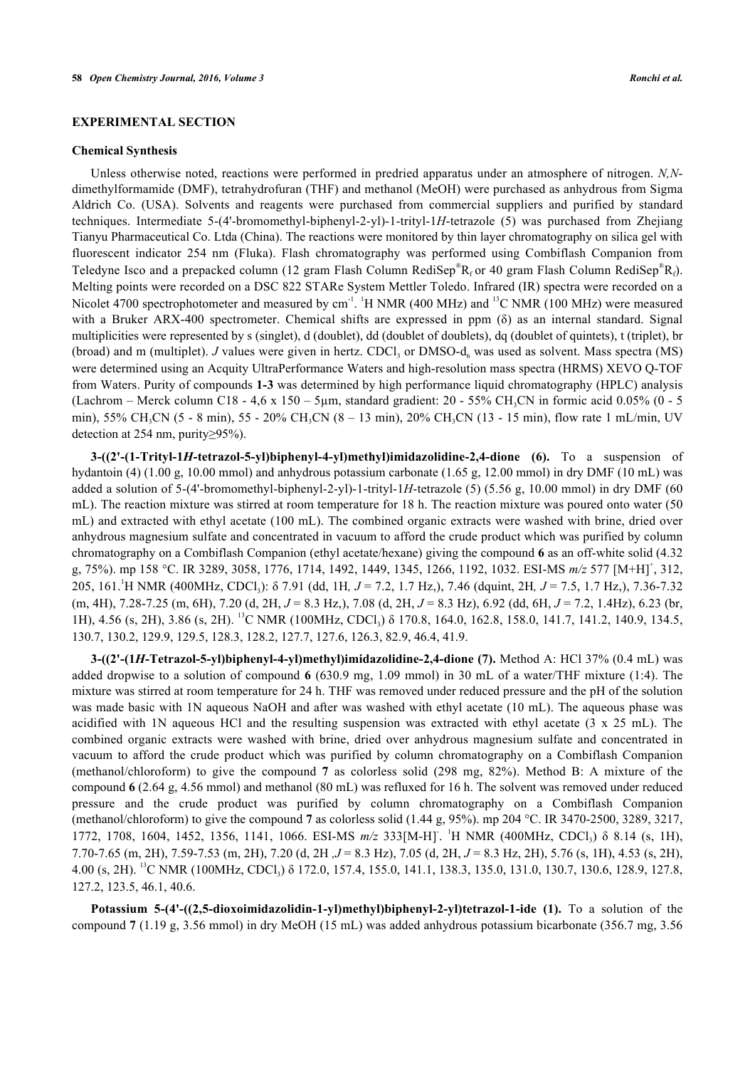# **EXPERIMENTAL SECTION**

#### **Chemical Synthesis**

Unless otherwise noted, reactions were performed in predried apparatus under an atmosphere of nitrogen. *N,N*dimethylformamide (DMF), tetrahydrofuran (THF) and methanol (MeOH) were purchased as anhydrous from Sigma Aldrich Co. (USA). Solvents and reagents were purchased from commercial suppliers and purified by standard techniques. Intermediate 5-(4'-bromomethyl-biphenyl-2-yl)-1-trityl-1*H*-tetrazole (5) was purchased from Zhejiang Tianyu Pharmaceutical Co. Ltda (China). The reactions were monitored by thin layer chromatography on silica gel with fluorescent indicator 254 nm (Fluka). Flash chromatography was performed using Combiflash Companion from Teledyne Isco and a prepacked column (12 gram Flash Column RediSep®R<sub>f</sub> or 40 gram Flash Column RediSep®R<sub>f</sub>). Melting points were recorded on a DSC 822 STARe System Mettler Toledo. Infrared (IR) spectra were recorded on a Nicolet 4700 spectrophotometer and measured by  $cm^{-1}$ . <sup>1</sup>H NMR (400 MHz) and <sup>13</sup>C NMR (100 MHz) were measured with a Bruker ARX-400 spectrometer. Chemical shifts are expressed in ppm (δ) as an internal standard. Signal multiplicities were represented by s (singlet), d (doublet), dd (doublet of doublets), dq (doublet of quintets), t (triplet), br (broad) and m (multiplet). *J* values were given in hertz. CDCl<sub>3</sub> or DMSO- $d_6$  was used as solvent. Mass spectra (MS) were determined using an Acquity UltraPerformance Waters and high-resolution mass spectra (HRMS) XEVO Q-TOF from Waters. Purity of compounds **1-3** was determined by high performance liquid chromatography (HPLC) analysis (Lachrom – Merck column C18 - 4,6 x 150 – 5 $\mu$ m, standard gradient: 20 - 55% CH<sub>3</sub>CN in formic acid 0.05% (0 - 5 min), 55% CH<sub>3</sub>CN (5 - 8 min), 55 - 20% CH<sub>3</sub>CN (8 – 13 min), 20% CH<sub>3</sub>CN (13 - 15 min), flow rate 1 mL/min, UV detection at 254 nm, purity≥95%).

**3-((2'-(1-Trityl-1***H***-tetrazol-5-yl)biphenyl-4-yl)methyl)imidazolidine-2,4-dione (6).** To a suspension of hydantoin (4) (1.00 g, 10.00 mmol) and anhydrous potassium carbonate (1.65 g, 12.00 mmol) in dry DMF (10 mL) was added a solution of 5-(4'-bromomethyl-biphenyl-2-yl)-1-trityl-1*H*-tetrazole (5) (5.56 g, 10.00 mmol) in dry DMF (60 mL). The reaction mixture was stirred at room temperature for 18 h. The reaction mixture was poured onto water (50 mL) and extracted with ethyl acetate (100 mL). The combined organic extracts were washed with brine, dried over anhydrous magnesium sulfate and concentrated in vacuum to afford the crude product which was purified by column chromatography on a Combiflash Companion (ethyl acetate/hexane) giving the compound **6** as an off-white solid (4.32 g, 75%). mp 158 °C. IR 3289, 3058, 1776, 1714, 1492, 1449, 1345, 1266, 1192, 1032. ESI-MS *m/z* 577 [M+H]<sup>+</sup> , 312, 205, 161.<sup>1</sup>H NMR (400MHz, CDCl<sup>3</sup> ): δ 7.91 (dd, 1H*, J* = 7.2, 1.7 Hz,), 7.46 (dquint, 2H*, J* = 7.5, 1.7 Hz,), 7.36-7.32 (m, 4H), 7.28-7.25 (m, 6H), 7.20 (d, 2H, *J* = 8.3 Hz,), 7.08 (d, 2H, *J* = 8.3 Hz), 6.92 (dd, 6H, *J* = 7.2, 1.4Hz), 6.23 (br, 1H), 4.56 (s, 2H), 3.86 (s, 2H). <sup>13</sup>C NMR (100MHz, CDCl<sub>3</sub>) δ 170.8, 164.0, 162.8, 158.0, 141.7, 141.2, 140.9, 134.5, 130.7, 130.2, 129.9, 129.5, 128.3, 128.2, 127.7, 127.6, 126.3, 82.9, 46.4, 41.9.

**3-((2'-(1***H***-Tetrazol-5-yl)biphenyl-4-yl)methyl)imidazolidine-2,4-dione (7).** Method A: HCl 37% (0.4 mL) was added dropwise to a solution of compound **6** (630.9 mg, 1.09 mmol) in 30 mL of a water/THF mixture (1:4). The mixture was stirred at room temperature for 24 h. THF was removed under reduced pressure and the pH of the solution was made basic with 1N aqueous NaOH and after was washed with ethyl acetate (10 mL). The aqueous phase was acidified with 1N aqueous HCl and the resulting suspension was extracted with ethyl acetate (3 x 25 mL). The combined organic extracts were washed with brine, dried over anhydrous magnesium sulfate and concentrated in vacuum to afford the crude product which was purified by column chromatography on a Combiflash Companion (methanol/chloroform) to give the compound **7** as colorless solid (298 mg, 82%). Method B: A mixture of the compound **6** (2.64 g, 4.56 mmol) and methanol (80 mL) was refluxed for 16 h. The solvent was removed under reduced pressure and the crude product was purified by column chromatography on a Combiflash Companion (methanol/chloroform) to give the compound **7** as colorless solid (1.44 g, 95%). mp 204 °C. IR 3470-2500, 3289, 3217, 1772, 1708, 1604, 1452, 1356, 1141, 1066. ESI-MS  $m/z$  333[M-H]<sup>-1</sup>H NMR (400MHz, CDCl<sub>3</sub>) δ 8.14 (s, 1H), 7.70-7.65 (m, 2H), 7.59-7.53 (m, 2H), 7.20 (d, 2H *,J* = 8.3 Hz), 7.05 (d, 2H, *J* = 8.3 Hz, 2H), 5.76 (s, 1H), 4.53 (s, 2H), 4.00 (s, 2H). <sup>13</sup>C NMR (100MHz, CDCl<sub>3</sub>) δ 172.0, 157.4, 155.0, 141.1, 138.3, 135.0, 131.0, 130.7, 130.6, 128.9, 127.8, 127.2, 123.5, 46.1, 40.6.

**Potassium 5-(4'-((2,5-dioxoimidazolidin-1-yl)methyl)biphenyl-2-yl)tetrazol-1-ide (1).** To a solution of the compound **7** (1.19 g, 3.56 mmol) in dry MeOH (15 mL) was added anhydrous potassium bicarbonate (356.7 mg, 3.56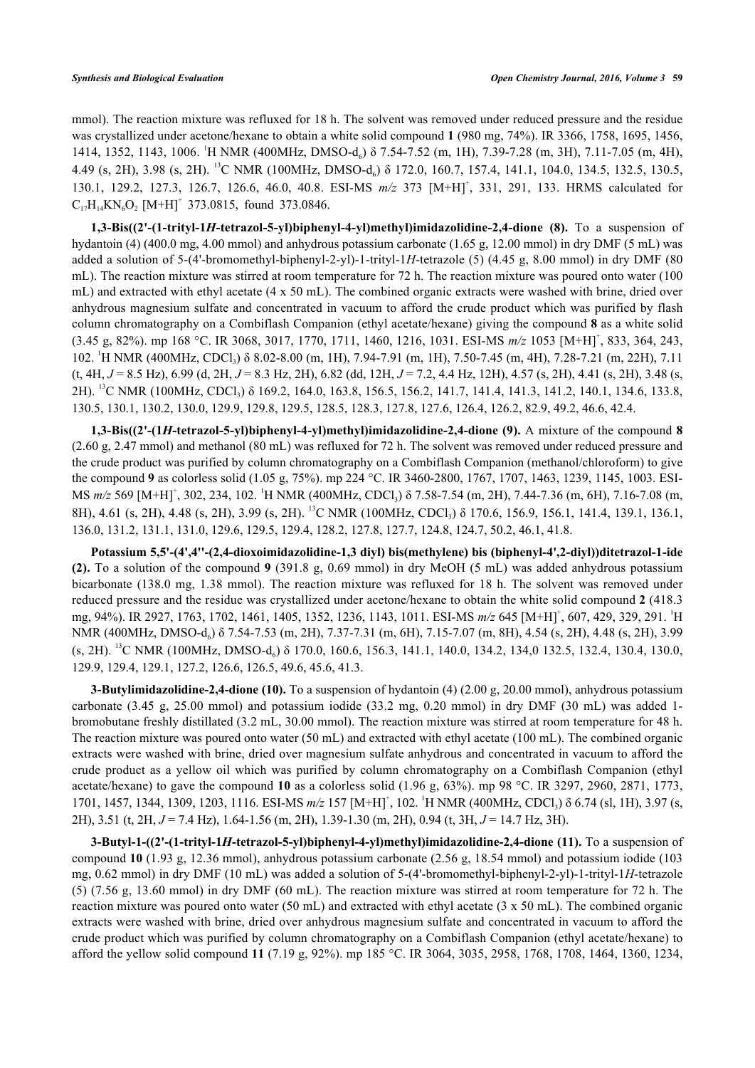mmol). The reaction mixture was refluxed for 18 h. The solvent was removed under reduced pressure and the residue was crystallized under acetone/hexane to obtain a white solid compound **1** (980 mg, 74%). IR 3366, 1758, 1695, 1456, 1414, 1352, 1143, 1006. <sup>1</sup>H NMR (400MHz, DMSO-d<sub>6</sub>) δ 7.54-7.52 (m, 1H), 7.39-7.28 (m, 3H), 7.11-7.05 (m, 4H), 4.49 (s, 2H), 3.98 (s, 2H). <sup>13</sup>C NMR (100MHz, DMSO-d<sub>6</sub>) δ 172.0, 160.7, 157.4, 141.1, 104.0, 134.5, 132.5, 130.5, 130.1, 129.2, 127.3, 126.7, 126.6, 46.0, 40.8. ESI-MS  $m/z$  373 [M+H]<sup>+</sup>, 331, 291, 133. HRMS calculated for  $C_{17}H_{14}KN_6O_2$  [M+H]<sup>+</sup> 373.0815, found 373.0846.

**1,3-Bis((2'-(1-trityl-1***H***-tetrazol-5-yl)biphenyl-4-yl)methyl)imidazolidine-2,4-dione (8).** To a suspension of hydantoin (4) (400.0 mg, 4.00 mmol) and anhydrous potassium carbonate (1.65 g, 12.00 mmol) in dry DMF (5 mL) was added a solution of 5-(4'-bromomethyl-biphenyl-2-yl)-1-trityl-1*H*-tetrazole (5) (4.45 g, 8.00 mmol) in dry DMF (80 mL). The reaction mixture was stirred at room temperature for 72 h. The reaction mixture was poured onto water (100 mL) and extracted with ethyl acetate (4 x 50 mL). The combined organic extracts were washed with brine, dried over anhydrous magnesium sulfate and concentrated in vacuum to afford the crude product which was purified by flash column chromatography on a Combiflash Companion (ethyl acetate/hexane) giving the compound **8** as a white solid (3.45 g, 82%). mp 168 °C. IR 3068, 3017, 1770, 1711, 1460, 1216, 1031. ESI-MS *m/z* 1053 [M+H]<sup>+</sup> , 833, 364, 243, 102. <sup>1</sup>H NMR (400MHz, CDCl<sub>3</sub>) δ 8.02-8.00 (m, 1H), 7.94-7.91 (m, 1H), 7.50-7.45 (m, 4H), 7.28-7.21 (m, 22H), 7.11 (t, 4H, *J* = 8.5 Hz), 6.99 (d, 2H, *J* = 8.3 Hz, 2H), 6.82 (dd, 12H, *J* = 7.2, 4.4 Hz, 12H), 4.57 (s, 2H), 4.41 (s, 2H), 3.48 (s, 2H). <sup>13</sup>C NMR (100MHz, CDCl<sub>3</sub>) δ 169.2, 164.0, 163.8, 156.5, 156.2, 141.7, 141.4, 141.3, 141.2, 140.1, 134.6, 133.8, 130.5, 130.1, 130.2, 130.0, 129.9, 129.8, 129.5, 128.5, 128.3, 127.8, 127.6, 126.4, 126.2, 82.9, 49.2, 46.6, 42.4.

**1,3-Bis((2'-(1***H***-tetrazol-5-yl)biphenyl-4-yl)methyl)imidazolidine-2,4-dione (9).** A mixture of the compound **8** (2.60 g, 2.47 mmol) and methanol (80 mL) was refluxed for 72 h. The solvent was removed under reduced pressure and the crude product was purified by column chromatography on a Combiflash Companion (methanol/chloroform) to give the compound **9** as colorless solid (1.05 g, 75%). mp 224 °C. IR 3460-2800, 1767, 1707, 1463, 1239, 1145, 1003. ESI-MS *m/z* 569 [M+H]<sup>+</sup>, 302, 234, 102. <sup>1</sup>H NMR (400MHz, CDCl<sub>3</sub>) δ 7.58-7.54 (m, 2H), 7.44-7.36 (m, 6H), 7.16-7.08 (m, 8H), 4.61 (s, 2H), 4.48 (s, 2H), 3.99 (s, 2H). <sup>13</sup>C NMR (100MHz, CDCl<sub>3</sub>) δ 170.6, 156.9, 156.1, 141.4, 139.1, 136.1, 136.0, 131.2, 131.1, 131.0, 129.6, 129.5, 129.4, 128.2, 127.8, 127.7, 124.8, 124.7, 50.2, 46.1, 41.8.

**Potassium 5,5'-(4',4''-(2,4-dioxoimidazolidine-1,3 diyl) bis(methylene) bis (biphenyl-4',2-diyl))ditetrazol-1-ide (2).** To a solution of the compound **9** (391.8 g, 0.69 mmol) in dry MeOH (5 mL) was added anhydrous potassium bicarbonate (138.0 mg, 1.38 mmol). The reaction mixture was refluxed for 18 h. The solvent was removed under reduced pressure and the residue was crystallized under acetone/hexane to obtain the white solid compound **2** (418.3 mg, 94%). IR 2927, 1763, 1702, 1461, 1405, 1352, 1236, 1143, 1011. ESI-MS *m/z* 645 [M+H]<sup>+</sup>, 607, 429, 329, 291. <sup>1</sup>H NMR (400MHz, DMSO-d<sub>6</sub>) δ 7.54-7.53 (m, 2H), 7.37-7.31 (m, 6H), 7.15-7.07 (m, 8H), 4.54 (s, 2H), 4.48 (s, 2H), 3.99 (s, 2H). <sup>13</sup>C NMR (100MHz, DMSO-d<sub>6</sub>) δ 170.0, 160.6, 156.3, 141.1, 140.0, 134.2, 134,0 132.5, 132.4, 130.4, 130.0, 129.9, 129.4, 129.1, 127.2, 126.6, 126.5, 49.6, 45.6, 41.3.

**3-Butylimidazolidine-2,4-dione (10).** To a suspension of hydantoin (4) (2.00 g, 20.00 mmol), anhydrous potassium carbonate (3.45 g, 25.00 mmol) and potassium iodide (33.2 mg, 0.20 mmol) in dry DMF (30 mL) was added 1 bromobutane freshly distillated (3.2 mL, 30.00 mmol). The reaction mixture was stirred at room temperature for 48 h. The reaction mixture was poured onto water (50 mL) and extracted with ethyl acetate (100 mL). The combined organic extracts were washed with brine, dried over magnesium sulfate anhydrous and concentrated in vacuum to afford the crude product as a yellow oil which was purified by column chromatography on a Combiflash Companion (ethyl acetate/hexane) to gave the compound **10** as a colorless solid (1.96 g, 63%). mp 98 °C. IR 3297, 2960, 2871, 1773, 1701, 1457, 1344, 1309, 1203, 1116. ESI-MS  $m/z$  157 [M+H]<sup>+</sup>, 102. <sup>1</sup>H NMR (400MHz, CDCl<sub>3</sub>) δ 6.74 (sl, 1H), 3.97 (s, 2H), 3.51 (t, 2H, *J* = 7.4 Hz), 1.64-1.56 (m, 2H), 1.39-1.30 (m, 2H), 0.94 (t, 3H, *J* = 14.7 Hz, 3H).

**3-Butyl-1-((2'-(1-trityl-1***H***-tetrazol-5-yl)biphenyl-4-yl)methyl)imidazolidine-2,4-dione (11).** To a suspension of compound **10** (1.93 g, 12.36 mmol), anhydrous potassium carbonate (2.56 g, 18.54 mmol) and potassium iodide (103 mg, 0.62 mmol) in dry DMF (10 mL) was added a solution of 5-(4'-bromomethyl-biphenyl-2-yl)-1-trityl-1*H*-tetrazole (5) (7.56 g, 13.60 mmol) in dry DMF (60 mL). The reaction mixture was stirred at room temperature for 72 h. The reaction mixture was poured onto water (50 mL) and extracted with ethyl acetate (3 x 50 mL). The combined organic extracts were washed with brine, dried over anhydrous magnesium sulfate and concentrated in vacuum to afford the crude product which was purified by column chromatography on a Combiflash Companion (ethyl acetate/hexane) to afford the yellow solid compound **11** (7.19 g, 92%). mp 185 °C. IR 3064, 3035, 2958, 1768, 1708, 1464, 1360, 1234,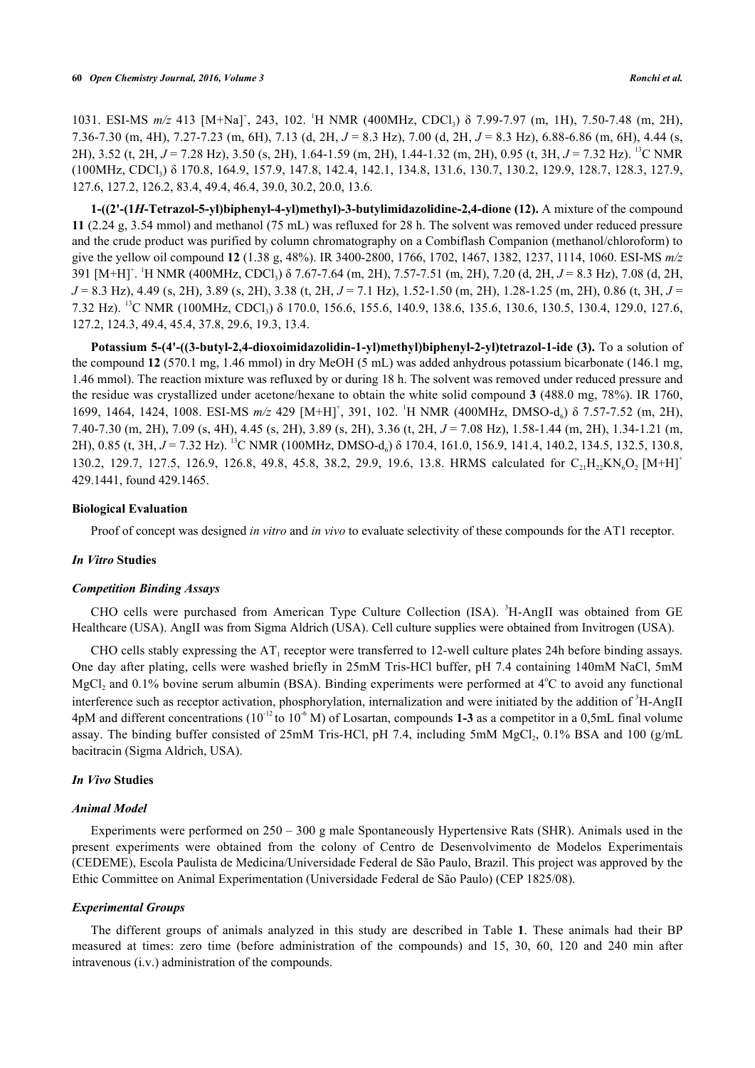1031. ESI-MS  $m/z$  413 [M+Na]<sup>+</sup>, 243, 102. <sup>1</sup>H NMR (400MHz, CDCl<sub>3</sub>) δ 7.99-7.97 (m, 1H), 7.50-7.48 (m, 2H), 7.36-7.30 (m, 4H), 7.27-7.23 (m, 6H), 7.13 (d, 2H, *J* = 8.3 Hz), 7.00 (d, 2H, *J* = 8.3 Hz), 6.88-6.86 (m, 6H), 4.44 (s, 2H), 3.52 (t, 2H, *J* = 7.28 Hz), 3.50 (s, 2H), 1.64-1.59 (m, 2H), 1.44-1.32 (m, 2H), 0.95 (t, 3H, *J* = 7.32 Hz). <sup>13</sup>C NMR (100MHz, CDCl<sup>3</sup> ) δ 170.8, 164.9, 157.9, 147.8, 142.4, 142.1, 134.8, 131.6, 130.7, 130.2, 129.9, 128.7, 128.3, 127.9, 127.6, 127.2, 126.2, 83.4, 49.4, 46.4, 39.0, 30.2, 20.0, 13.6.

**1-((2'-(1***H***-Tetrazol-5-yl)biphenyl-4-yl)methyl)-3-butylimidazolidine-2,4-dione (12).** A mixture of the compound **11** (2.24 g, 3.54 mmol) and methanol (75 mL) was refluxed for 28 h. The solvent was removed under reduced pressure and the crude product was purified by column chromatography on a Combiflash Companion (methanol/chloroform) to give the yellow oil compound **12** (1.38 g, 48%). IR 3400-2800, 1766, 1702, 1467, 1382, 1237, 1114, 1060. ESI-MS *m/z* 391 [M+H]<sup>+</sup>. <sup>1</sup>H NMR (400MHz, CDCl<sub>3</sub>) δ 7.67-7.64 (m, 2H), 7.57-7.51 (m, 2H), 7.20 (d, 2H, *J* = 8.3 Hz), 7.08 (d, 2H, *J* = 8.3 Hz), 4.49 (s, 2H), 3.89 (s, 2H), 3.38 (t, 2H, *J* = 7.1 Hz), 1.52-1.50 (m, 2H), 1.28-1.25 (m, 2H), 0.86 (t, 3H, *J* = 7.32 Hz). <sup>13</sup>C NMR (100MHz, CDCl<sub>3</sub>) δ 170.0, 156.6, 155.6, 140.9, 138.6, 135.6, 130.6, 130.5, 130.4, 129.0, 127.6, 127.2, 124.3, 49.4, 45.4, 37.8, 29.6, 19.3, 13.4.

**Potassium 5-(4'-((3-butyl-2,4-dioxoimidazolidin-1-yl)methyl)biphenyl-2-yl)tetrazol-1-ide (3).** To a solution of the compound **12** (570.1 mg, 1.46 mmol) in dry MeOH (5 mL) was added anhydrous potassium bicarbonate (146.1 mg, 1.46 mmol). The reaction mixture was refluxed by or during 18 h. The solvent was removed under reduced pressure and the residue was crystallized under acetone/hexane to obtain the white solid compound **3** (488.0 mg, 78%). IR 1760, 1699, 1464, 1424, 1008. ESI-MS  $m/z$  429 [M+H]<sup>+</sup>, 391, 102. <sup>1</sup>H NMR (400MHz, DMSO-d<sub>6</sub>) δ 7.57-7.52 (m, 2H), 7.40-7.30 (m, 2H), 7.09 (s, 4H), 4.45 (s, 2H), 3.89 (s, 2H), 3.36 (t, 2H, *J* = 7.08 Hz), 1.58-1.44 (m, 2H), 1.34-1.21 (m, 2H), 0.85 (t, 3H, *J* = 7.32 Hz). <sup>13</sup>C NMR (100MHz, DMSO-d<sub>6</sub>) δ 170.4, 161.0, 156.9, 141.4, 140.2, 134.5, 132.5, 130.8, 130.2, 129.7, 127.5, 126.9, 126.8, 49.8, 45.8, 38.2, 29.9, 19.6, 13.8. HRMS calculated for  $C_{21}H_{22}KN_6O_2$  [M+H]<sup>+</sup> 429.1441, found 429.1465.

## **Biological Evaluation**

Proof of concept was designed *in vitro* and *in vivo* to evaluate selectivity of these compounds for the AT1 receptor.

## *In Vitro* **Studies**

#### *Competition Binding Assays*

CHO cells were purchased from American Type Culture Collection (ISA). <sup>3</sup>H-AngII was obtained from GE Healthcare (USA). AngII was from Sigma Aldrich (USA). Cell culture supplies were obtained from Invitrogen (USA).

CHO cells stably expressing the  $AT_1$  receptor were transferred to 12-well culture plates 24h before binding assays. One day after plating, cells were washed briefly in 25mM Tris-HCl buffer, pH 7.4 containing 140mM NaCl, 5mM MgCl<sub>2</sub> and 0.1% bovine serum albumin (BSA). Binding experiments were performed at 4°C to avoid any functional interference such as receptor activation, phosphorylation, internalization and were initiated by the addition of <sup>3</sup>H-AngII 4pM and different concentrations  $(10^{-12}$  to  $10^{-6}$  M) of Losartan, compounds **1-3** as a competitor in a 0,5mL final volume assay. The binding buffer consisted of 25mM Tris-HCl, pH 7.4, including 5mM  $MgCl_2$ , 0.1% BSA and 100 (g/mL bacitracin (Sigma Aldrich, USA).

## *In Vivo* **Studies**

#### *Animal Model*

Experiments were performed on 250 – 300 g male Spontaneously Hypertensive Rats (SHR). Animals used in the present experiments were obtained from the colony of Centro de Desenvolvimento de Modelos Experimentais (CEDEME), Escola Paulista de Medicina/Universidade Federal de São Paulo, Brazil. This project was approved by the Ethic Committee on Animal Experimentation (Universidade Federal de São Paulo) (CEP 1825/08).

## *Experimental Groups*

The different groups of animals analyzed in this study are described in Table**1**. These animals had their BP measured at times: zero time (before administration of the compounds) and 15, 30, 60, 120 and 240 min after intravenous (i.v.) administration of the compounds.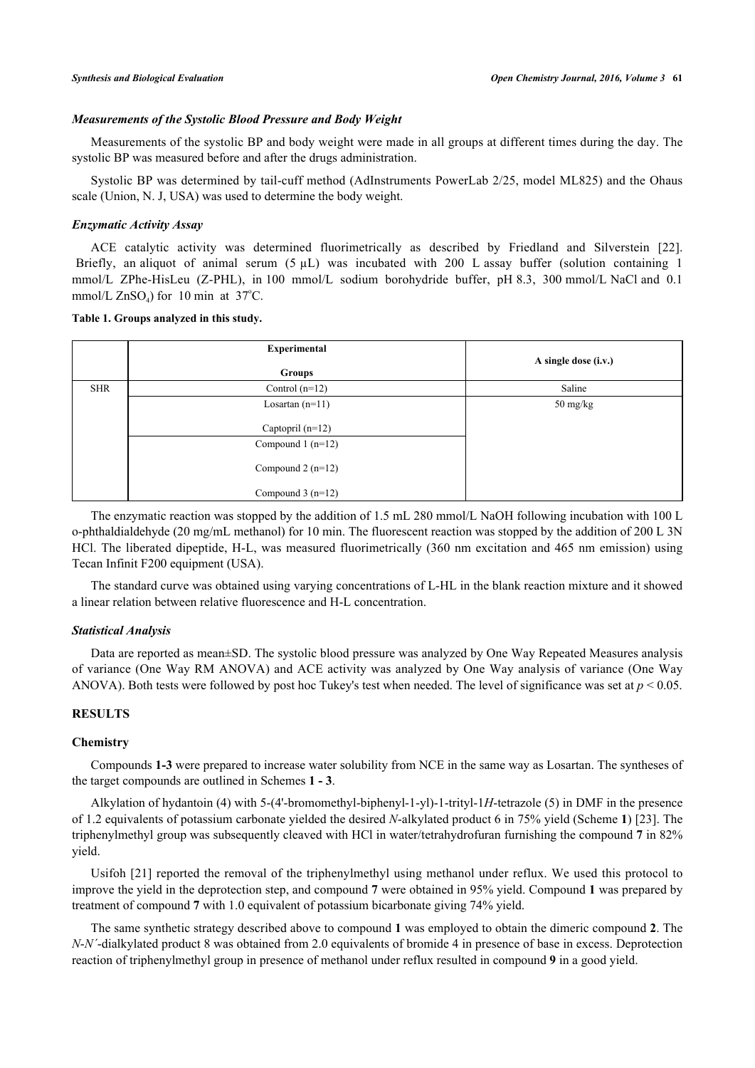## *Measurements of the Systolic Blood Pressure and Body Weight*

Measurements of the systolic BP and body weight were made in all groups at different times during the day. The systolic BP was measured before and after the drugs administration.

Systolic BP was determined by tail-cuff method (AdInstruments PowerLab 2/25, model ML825) and the Ohaus scale (Union, N. J, USA) was used to determine the body weight.

# *Enzymatic Activity Assay*

ACE catalytic activity was determined fluorimetrically as described by Friedland and Silverstein [\[22\]](#page-12-1). Briefly, an aliquot of animal serum  $(5 \mu L)$  was incubated with 200 L assay buffer (solution containing 1 mmol/L ZPhe-HisLeu (Z-PHL), in 100 mmol/L sodium borohydride buffer, pH 8.3, 300 mmol/L NaCl and 0.1 mmol/L  $ZnSO<sub>4</sub>$ ) for 10 min at 37°C.

#### <span id="page-5-0"></span>**Table 1. Groups analyzed in this study.**

|            | <b>Experimental</b> |                      |  |  |
|------------|---------------------|----------------------|--|--|
|            | <b>Groups</b>       | A single dose (i.v.) |  |  |
| <b>SHR</b> | Control $(n=12)$    | Saline               |  |  |
|            | Losartan $(n=11)$   | 50 mg/kg             |  |  |
|            | Captopril $(n=12)$  |                      |  |  |
|            | Compound $1$ (n=12) |                      |  |  |
|            | Compound $2(n=12)$  |                      |  |  |
|            | Compound $3(n=12)$  |                      |  |  |

The enzymatic reaction was stopped by the addition of 1.5 mL 280 mmol/L NaOH following incubation with 100 L o-phthaldialdehyde (20 mg/mL methanol) for 10 min. The fluorescent reaction was stopped by the addition of 200 L 3N HCl. The liberated dipeptide, H-L, was measured fluorimetrically (360 nm excitation and 465 nm emission) using Tecan Infinit F200 equipment (USA).

The standard curve was obtained using varying concentrations of L-HL in the blank reaction mixture and it showed a linear relation between relative fluorescence and H-L concentration.

# *Statistical Analysis*

Data are reported as mean±SD. The systolic blood pressure was analyzed by One Way Repeated Measures analysis of variance (One Way RM ANOVA) and ACE activity was analyzed by One Way analysis of variance (One Way ANOVA). Both tests were followed by post hoc Tukey's test when needed. The level of significance was set at *p* < 0.05.

# **RESULTS**

# **Chemistry**

Compounds **1-3** were prepared to increase water solubility from NCE in the same way as Losartan. The syntheses of the target compounds are outlined in Schemes **[1](#page-6-0) - [3](#page-6-1)**.

Alkylation of hydantoin (4) with 5-(4'-bromomethyl-biphenyl-1-yl)-1-trityl-1*H*-tetrazole (5) in DMF in the presence of 1.2 equivalents of potassium carbonate yielded the desired *N*-alkylated product 6 in 75% yield (Scheme **[1](#page-6-0)**) [\[23](#page-12-2)]. The triphenylmethyl group was subsequently cleaved with HCl in water/tetrahydrofuran furnishing the compound **7** in 82% yield.

Usifoh [\[21\]](#page-12-3) reported the removal of the triphenylmethyl using methanol under reflux. We used this protocol to improve the yield in the deprotection step, and compound **7** were obtained in 95% yield. Compound **1** was prepared by treatment of compound **7** with 1.0 equivalent of potassium bicarbonate giving 74% yield.

The same synthetic strategy described above to compound **1** was employed to obtain the dimeric compound **2**. The *N*-*N´*-dialkylated product 8 was obtained from 2.0 equivalents of bromide 4 in presence of base in excess. Deprotection reaction of triphenylmethyl group in presence of methanol under reflux resulted in compound **9** in a good yield.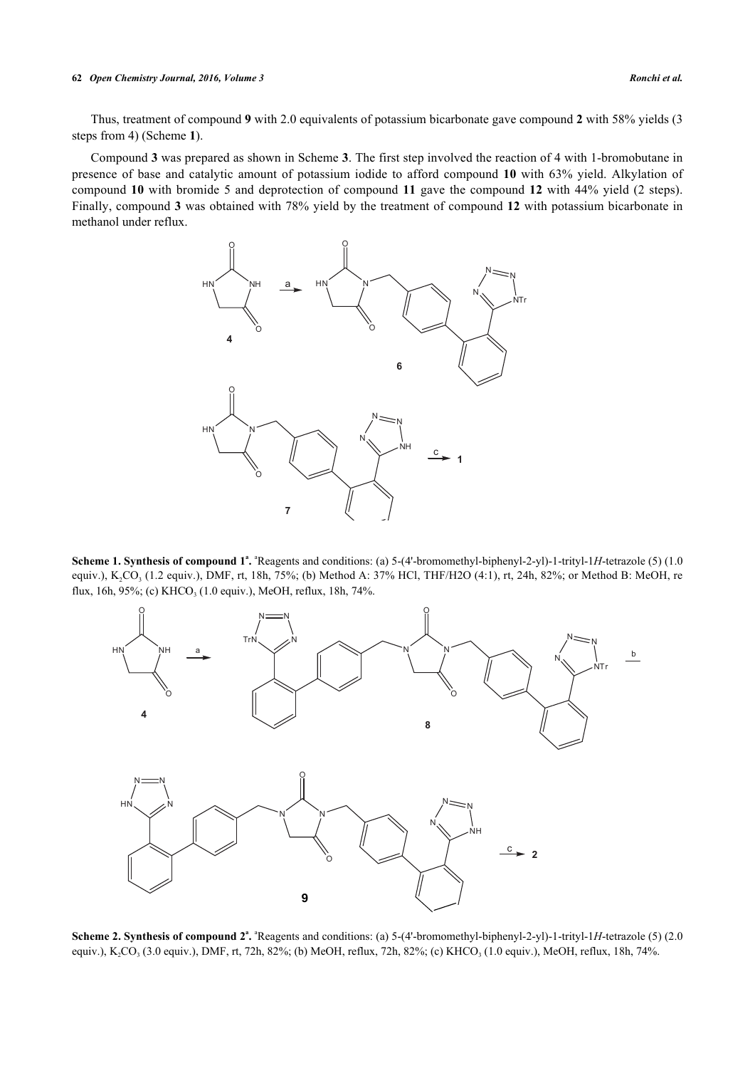#### **62** *Open Chemistry Journal, 2016, Volume 3 Ronchi et al.*

Thus, treatment of compound **9** with 2.0 equivalents of potassium bicarbonate gave compound **2** with 58% yields (3 steps from 4) (Scheme **[1](#page-6-0)**).

<span id="page-6-0"></span>Compound **3** was prepared as shown in Scheme **[3](#page-6-1)**. The first step involved the reaction of 4 with 1-bromobutane in presence of base and catalytic amount of potassium iodide to afford compound **10** with 63% yield. Alkylation of compound **10** with bromide 5 and deprotection of compound **11** gave the compound **12** with 44% yield (2 steps). Finally, compound **3** was obtained with 78% yield by the treatment of compound **12** with potassium bicarbonate in methanol under reflux.



**Scheme 1. Synthesis of compound**  $1^a$ **.**  $^a$ Reagents and conditions: (a) 5-(4'-bromomethyl-biphenyl-2-yl)-1-trityl-1*H*-tetrazole (5) (1.0 equiv.), K<sub>2</sub>CO<sub>3</sub> (1.2 equiv.), DMF, rt, 18h, 75%; (b) Method A: 37% HCl, THF/H2O (4:1), rt, 24h, 82%; or Method B: MeOH, re flux, 16h, 95%; (c) KHCO<sub>3</sub> (1.0 equiv.), MeOH, reflux, 18h, 74%.



<span id="page-6-1"></span>**Scheme 2. Synthesis of compound**  $2^a$ **.**  $^a$ Reagents and conditions: (a) 5-(4'-bromomethyl-biphenyl-2-yl)-1-trityl-1*H*-tetrazole (5) (2.0 equiv.), K<sub>2</sub>CO<sub>3</sub> (3.0 equiv.), DMF, rt, 72h, 82%; (b) MeOH, reflux, 72h, 82%; (c) KHCO<sub>3</sub> (1.0 equiv.), MeOH, reflux, 18h, 74%.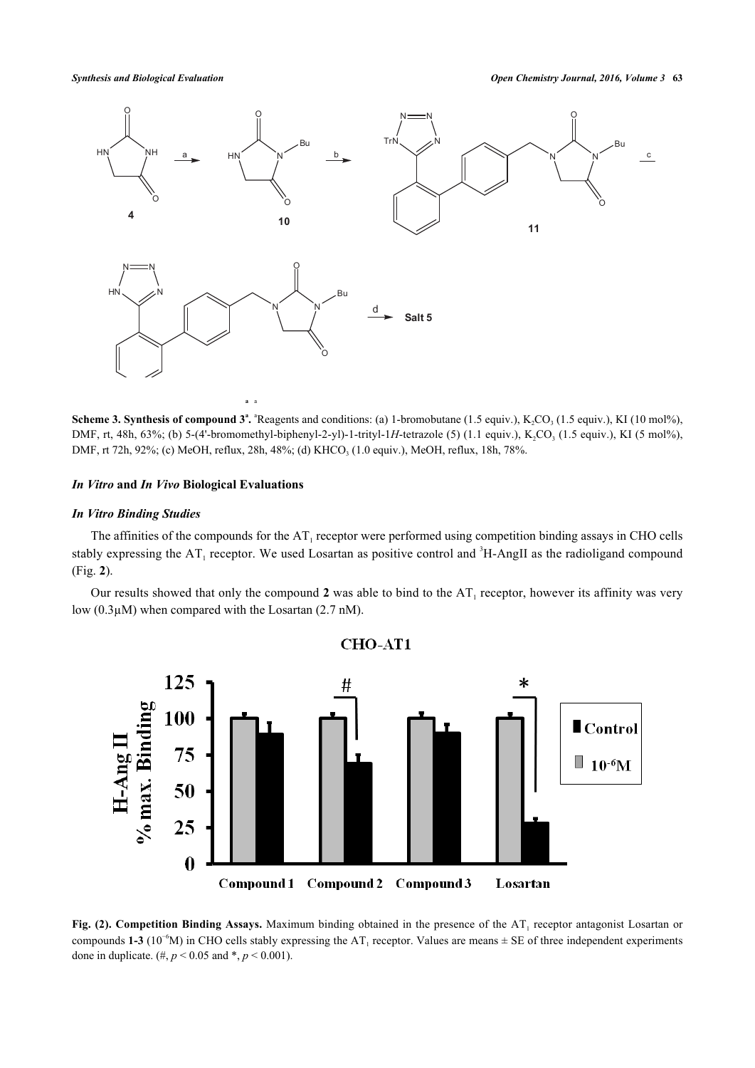*Synthesis and Biological Evaluation Open Chemistry Journal, 2016, Volume 3* **63**





**Scheme 3. Synthesis of compound**  $3^a$ **.**  $^a$ Reagents and conditions: (a) 1-bromobutane (1.5 equiv.), K<sub>2</sub>CO<sub>3</sub> (1.5 equiv.), KI (10 mol%), DMF, rt, 48h, 63%; (b) 5-(4'-bromomethyl-biphenyl-2-yl)-1-trityl-1*H*-tetrazole (5) (1.1 equiv.), K<sub>2</sub>CO<sub>3</sub> (1.5 equiv.), KI (5 mol%), DMF, rt 72h, 92%; (c) MeOH, reflux, 28h, 48%; (d) KHCO<sub>3</sub> (1.0 equiv.), MeOH, reflux, 18h, 78%.

# *In Vitro* **and** *In Vivo* **Biological Evaluations**

# *In Vitro Binding Studies*

The affinities of the compounds for the  $AT_1$  receptor were performed using competition binding assays in CHO cells stably expressing the  $AT_1$  receptor. We used Losartan as positive control and  ${}^{3}H$ -AngII as the radioligand compound (Fig. **[2](#page-7-0)**).

<span id="page-7-0"></span>Our results showed that only the compound 2 was able to bind to the  $AT_1$  receptor, however its affinity was very low (0.3µM) when compared with the Losartan (2.7 nM).



Fig.  $(2)$ . Competition Binding Assays. Maximum binding obtained in the presence of the  $AT<sub>1</sub>$  receptor antagonist Losartan or compounds 1-3 ( $10^{-6}$ M) in CHO cells stably expressing the AT<sub>1</sub> receptor. Values are means  $\pm$  SE of three independent experiments done in duplicate. (#,  $p < 0.05$  and \*,  $p < 0.001$ ).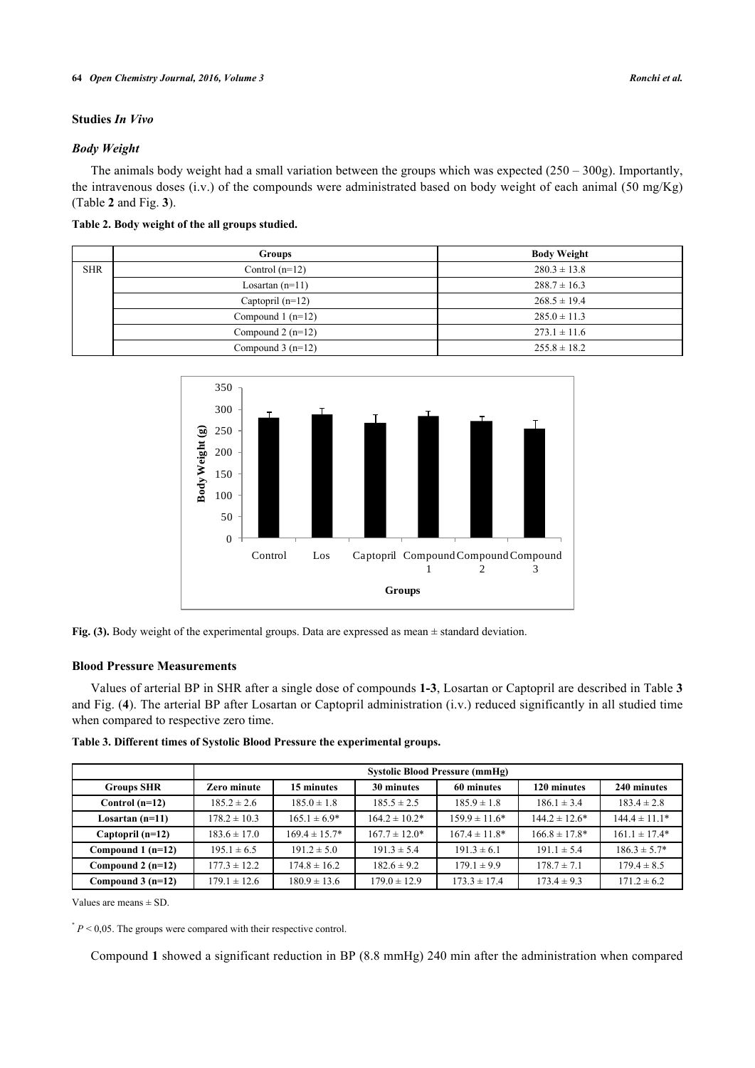# **Studies** *In Vivo*

# *Body Weight*

The animals body weight had a small variation between the groups which was expected (250 – 300g). Importantly, the intravenous doses (i.v.) of the compounds were administrated based on body weight of each animal (50 mg/Kg) (Table **[2](#page-8-0)** and Fig. **[3](#page-8-1)**).

<span id="page-8-0"></span>**Table 2. Body weight of the all groups studied.**

<span id="page-8-1"></span>

|            | <b>Groups</b>       | <b>Body Weight</b> |  |
|------------|---------------------|--------------------|--|
| <b>SHR</b> | Control $(n=12)$    | $280.3 \pm 13.8$   |  |
|            | Losartan $(n=11)$   | $288.7 \pm 16.3$   |  |
|            | Captopril $(n=12)$  | $268.5 \pm 19.4$   |  |
|            | Compound $1$ (n=12) | $285.0 \pm 11.3$   |  |
|            | Compound $2(n=12)$  | $273.1 \pm 11.6$   |  |
|            | Compound $3(n=12)$  | $255.8 \pm 18.2$   |  |



**Fig. (3).** Body weight of the experimental groups. Data are expressed as mean  $\pm$  standard deviation.

# **Blood Pressure Measurements**

Values of arterial BP in SHR after a single dose of compounds **1-3**, Losartan or Captopril are described in Table **[3](#page-8-2)** and Fig. (**[4](#page-9-0)**). The arterial BP after Losartan or Captopril administration (i.v.) reduced significantly in all studied time when compared to respective zero time.

<span id="page-8-2"></span>

| Table 3. Different times of Systolic Blood Pressure the experimental groups. |  |  |  |
|------------------------------------------------------------------------------|--|--|--|
|                                                                              |  |  |  |

|                    | <b>Systolic Blood Pressure (mmHg)</b> |                   |                    |                    |                    |                   |
|--------------------|---------------------------------------|-------------------|--------------------|--------------------|--------------------|-------------------|
|                    |                                       |                   |                    |                    |                    |                   |
| <b>Groups SHR</b>  | Zero minute                           | 15 minutes        | 30 minutes         | 60 minutes         | 120 minutes        | 240 minutes       |
| Control $(n=12)$   | $185.2 \pm 2.6$                       | $185.0 \pm 1.8$   | $185.5 \pm 2.5$    | $185.9 \pm 1.8$    | $186.1 \pm 3.4$    | $183.4 \pm 2.8$   |
| Losartan $(n=11)$  | $178.2 \pm 10.3$                      | $165.1 \pm 6.9*$  | $164.2 \pm 10.2^*$ | $159.9 \pm 11.6*$  | $144.2 \pm 12.6^*$ | $144.4 \pm 11.1*$ |
| Captopril (n=12)   | $183.6 \pm 17.0$                      | $169.4 \pm 15.7*$ | $167.7 \pm 12.0*$  | $167.4 \pm 11.8^*$ | $166.8 \pm 17.8^*$ | $161.1 \pm 17.4*$ |
| Compound $1(n=12)$ | $195.1 \pm 6.5$                       | $191.2 \pm 5.0$   | $191.3 \pm 5.4$    | $191.3 \pm 6.1$    | $191.1 \pm 5.4$    | $186.3 \pm 5.7^*$ |
| Compound $2(n=12)$ | $177.3 \pm 12.2$                      | $174.8 \pm 16.2$  | $182.6 \pm 9.2$    | $179.1 \pm 9.9$    | $178.7 \pm 7.1$    | $179.4 \pm 8.5$   |
| Compound $3(n=12)$ | $179.1 \pm 12.6$                      | $180.9 \pm 13.6$  | $179.0 \pm 12.9$   | $173.3 \pm 17.4$   | $173.4 \pm 9.3$    | $171.2 \pm 6.2$   |

Values are means ± SD.

 $P < 0.05$ . The groups were compared with their respective control.

Compound **1** showed a significant reduction in BP (8.8 mmHg) 240 min after the administration when compared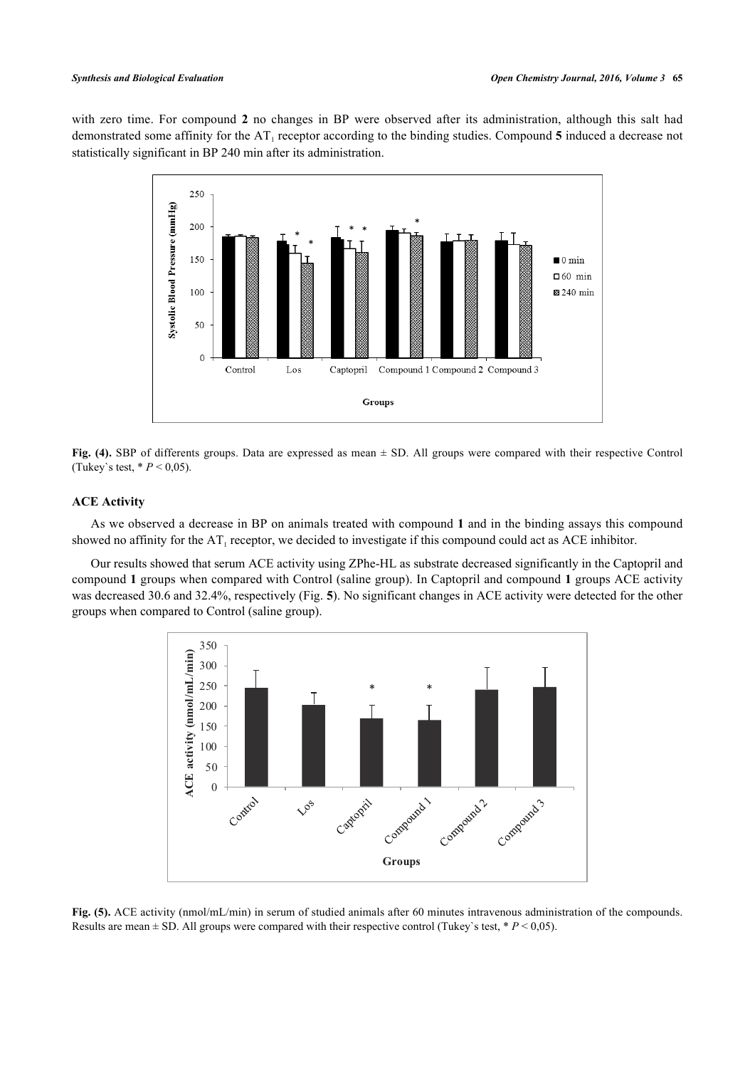<span id="page-9-0"></span>with zero time. For compound **2** no changes in BP were observed after its administration, although this salt had demonstrated some affinity for the AT<sub>1</sub> receptor according to the binding studies. Compound 5 induced a decrease not statistically significant in BP 240 min after its administration.



**Fig. (4).** SBP of differents groups. Data are expressed as mean ± SD. All groups were compared with their respective Control (Tukey's test,  $* P < 0.05$ ).

# **ACE Activity**

As we observed a decrease in BP on animals treated with compound **1** and in the binding assays this compound showed no affinity for the  $AT_1$  receptor, we decided to investigate if this compound could act as ACE inhibitor.

<span id="page-9-1"></span>Our results showed that serum ACE activity using ZPhe-HL as substrate decreased significantly in the Captopril and compound **1** groups when compared with Control (saline group). In Captopril and compound **1** groups ACE activity was decreased 30.6 and 32.4%, respectively (Fig. **[5](#page-9-1)**). No significant changes in ACE activity were detected for the other groups when compared to Control (saline group).



**Fig. (5).** ACE activity (nmol/mL/min) in serum of studied animals after 60 minutes intravenous administration of the compounds. Results are mean  $\pm$  SD. All groups were compared with their respective control (Tukey's test,  $* P < 0.05$ ).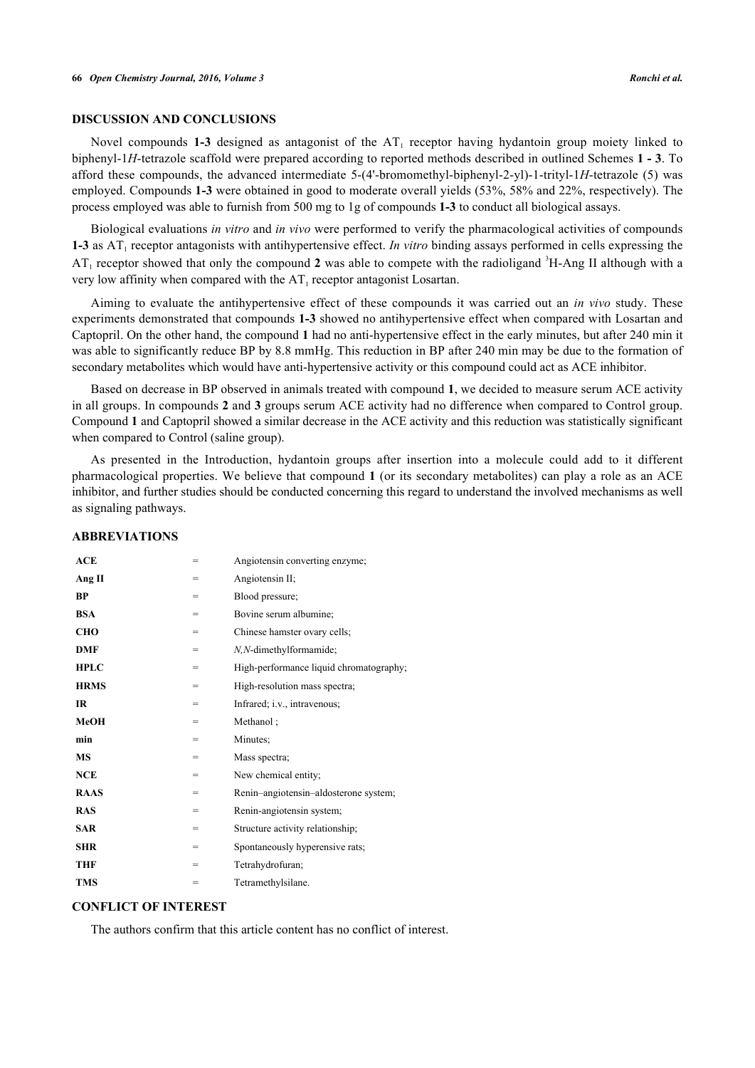# **DISCUSSION AND CONCLUSIONS**

Novel compounds 1-3 designed as antagonist of the AT<sub>1</sub> receptor having hydantoin group moiety linked to biphenyl-1*H*-tetrazole scaffold were prepared according to reported methods described in outlined Schemes **[1](#page-6-0) - [3](#page-6-1)**. To afford these compounds, the advanced intermediate 5-(4'-bromomethyl-biphenyl-2-yl)-1-trityl-1*H*-tetrazole (5) was employed. Compounds **1-3** were obtained in good to moderate overall yields (53%, 58% and 22%, respectively). The process employed was able to furnish from 500 mg to 1g of compounds **1-3** to conduct all biological assays.

Biological evaluations *in vitro* and *in vivo* were performed to verify the pharmacological activities of compounds **1-3** as  $AT_1$  receptor antagonists with antihypertensive effect. *In vitro* binding assays performed in cells expressing the  $AT_1$  receptor showed that only the compound 2 was able to compete with the radioligand  ${}^{3}H$ -Ang II although with a very low affinity when compared with the  $AT<sub>1</sub>$  receptor antagonist Losartan.

Aiming to evaluate the antihypertensive effect of these compounds it was carried out an *in vivo* study. These experiments demonstrated that compounds **1-3** showed no antihypertensive effect when compared with Losartan and Captopril. On the other hand, the compound **1** had no anti-hypertensive effect in the early minutes, but after 240 min it was able to significantly reduce BP by 8.8 mmHg. This reduction in BP after 240 min may be due to the formation of secondary metabolites which would have anti-hypertensive activity or this compound could act as ACE inhibitor.

Based on decrease in BP observed in animals treated with compound **1**, we decided to measure serum ACE activity in all groups. In compounds **2** and **3** groups serum ACE activity had no difference when compared to Control group. Compound **1** and Captopril showed a similar decrease in the ACE activity and this reduction was statistically significant when compared to Control (saline group).

As presented in the Introduction, hydantoin groups after insertion into a molecule could add to it different pharmacological properties. We believe that compound **1** (or its secondary metabolites) can play a role as an ACE inhibitor, and further studies should be conducted concerning this regard to understand the involved mechanisms as well as signaling pathways.

| ACE         | =   | Angiotensin converting enzyme;          |
|-------------|-----|-----------------------------------------|
| Ang II      | =   | Angiotensin II;                         |
| BP          | $=$ | Blood pressure;                         |
| <b>BSA</b>  | =   | Bovine serum albumine;                  |
| <b>CHO</b>  | =   | Chinese hamster ovary cells;            |
| <b>DMF</b>  | =   | N,N-dimethylformamide;                  |
| <b>HPLC</b> | =   | High-performance liquid chromatography; |
| <b>HRMS</b> | $=$ | High-resolution mass spectra;           |
| IR          | =   | Infrared; i.v., intravenous;            |
| MeOH        | =   | Methanol:                               |
| min         | =   | Minutes:                                |
| <b>MS</b>   | =   | Mass spectra;                           |
| <b>NCE</b>  | =   | New chemical entity;                    |
| <b>RAAS</b> | =   | Renin-angiotensin-aldosterone system;   |
| <b>RAS</b>  | =   | Renin-angiotensin system;               |
| <b>SAR</b>  | =   | Structure activity relationship;        |
| <b>SHR</b>  | =   | Spontaneously hyperensive rats;         |
| <b>THF</b>  | =   | Tetrahydrofuran;                        |
| <b>TMS</b>  | $=$ | Tetramethylsilane.                      |

# **ABBREVIATIONS**

# **CONFLICT OF INTEREST**

The authors confirm that this article content has no conflict of interest.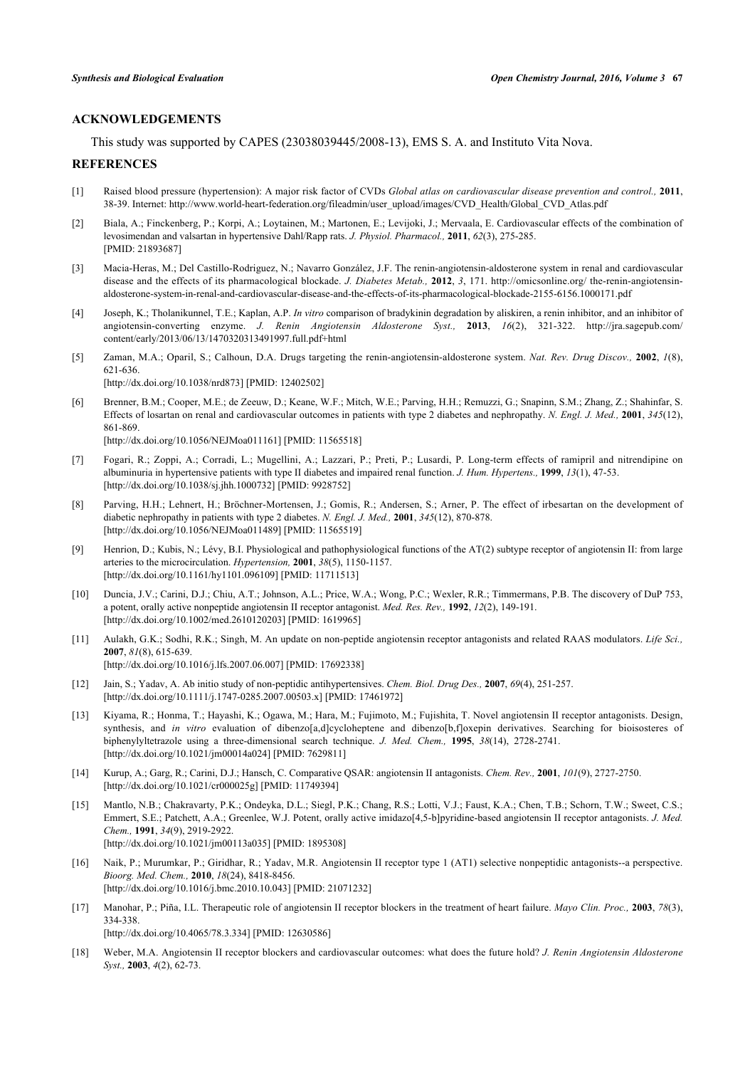# **ACKNOWLEDGEMENTS**

This study was supported by CAPES (23038039445/2008-13), EMS S. A. and Instituto Vita Nova.

# **REFERENCES**

- <span id="page-11-0"></span>[1] Raised blood pressure (hypertension): A major risk factor of CVDs *Global atlas on cardiovascular disease prevention and control.,* **2011**, 38-39. Internet: [http://www.world-heart-federation.org/fileadmin/user\\_upload/images/CVD\\_Health/Global\\_CVD\\_Atlas.pdf](http://www.world-heart-federation.org/fileadmin/user_upload/images/CVD_Health/Global_CVD_Atlas.pdf)
- <span id="page-11-1"></span>[2] Biala, A.; Finckenberg, P.; Korpi, A.; Loytainen, M.; Martonen, E.; Levijoki, J.; Mervaala, E. Cardiovascular effects of the combination of levosimendan and valsartan in hypertensive Dahl/Rapp rats. *J. Physiol. Pharmacol.,* **2011**, *62*(3), 275-285. [PMID: [21893687\]](http://www.ncbi.nlm.nih.gov/pubmed/21893687)
- <span id="page-11-2"></span>[3] Macia-Heras, M.; Del Castillo-Rodriguez, N.; Navarro González, J.F. The renin-angiotensin-aldosterone system in renal and cardiovascular disease and the effects of its pharmacological blockade. *J. Diabetes Metab.,* **2012**, *3*, 171. [http://omicsonline.org/ the-renin-angiotensin](http://omicsonline.org/the-renin-angiotensin-aldosterone-system-in-renal-and-cardiovascular-disease-and-the-effects-of-its-pharmacological-blockade-2155-6156.1000171.pdf)[aldosterone-system-in-renal-and-cardiovascular-disease-and-the-effects-of-its-pharmacological-blockade-2155-6156.1000171.pdf](http://omicsonline.org/the-renin-angiotensin-aldosterone-system-in-renal-and-cardiovascular-disease-and-the-effects-of-its-pharmacological-blockade-2155-6156.1000171.pdf)
- <span id="page-11-3"></span>[4] Joseph, K.; Tholanikunnel, T.E.; Kaplan, A.P. *In vitro* comparison of bradykinin degradation by aliskiren, a renin inhibitor, and an inhibitor of angiotensin-converting enzyme. *J. Renin Angiotensin Aldosterone Syst.,* **2013**, *16*(2), 321-322. [http://jra.sagepub.com/](http://jra.sagepub.com/content/early/2013/06/13/1470320313491997.full.pdf+html) [content/early/2013/06/13/1470320313491997.full.pdf+html](http://jra.sagepub.com/content/early/2013/06/13/1470320313491997.full.pdf+html)
- <span id="page-11-4"></span>[5] Zaman, M.A.; Oparil, S.; Calhoun, D.A. Drugs targeting the renin-angiotensin-aldosterone system. *Nat. Rev. Drug Discov.,* **2002**, *1*(8), 621-636. [\[http://dx.doi.org/10.1038/nrd873](http://dx.doi.org/10.1038/nrd873)] [PMID: [12402502](http://www.ncbi.nlm.nih.gov/pubmed/12402502)]
- [6] Brenner, B.M.; Cooper, M.E.; de Zeeuw, D.; Keane, W.F.; Mitch, W.E.; Parving, H.H.; Remuzzi, G.; Snapinn, S.M.; Zhang, Z.; Shahinfar, S. Effects of losartan on renal and cardiovascular outcomes in patients with type 2 diabetes and nephropathy. *N. Engl. J. Med.,* **2001**, *345*(12), 861-869. [\[http://dx.doi.org/10.1056/NEJMoa011161](http://dx.doi.org/10.1056/NEJMoa011161)] [PMID: [11565518\]](http://www.ncbi.nlm.nih.gov/pubmed/11565518)
- [7] Fogari, R.; Zoppi, A.; Corradi, L.; Mugellini, A.; Lazzari, P.; Preti, P.; Lusardi, P. Long-term effects of ramipril and nitrendipine on albuminuria in hypertensive patients with type II diabetes and impaired renal function. *J. Hum. Hypertens.,* **1999**, *13*(1), 47-53. [\[http://dx.doi.org/10.1038/sj.jhh.1000732](http://dx.doi.org/10.1038/sj.jhh.1000732)] [PMID: [9928752\]](http://www.ncbi.nlm.nih.gov/pubmed/9928752)
- [8] Parving, H.H.; Lehnert, H.; Bröchner-Mortensen, J.; Gomis, R.; Andersen, S.; Arner, P. The effect of irbesartan on the development of diabetic nephropathy in patients with type 2 diabetes. *N. Engl. J. Med.,* **2001**, *345*(12), 870-878. [\[http://dx.doi.org/10.1056/NEJMoa011489](http://dx.doi.org/10.1056/NEJMoa011489)] [PMID: [11565519\]](http://www.ncbi.nlm.nih.gov/pubmed/11565519)
- [9] Henrion, D.; Kubis, N.; Lévy, B.I. Physiological and pathophysiological functions of the AT(2) subtype receptor of angiotensin II: from large arteries to the microcirculation. *Hypertension,* **2001**, *38*(5), 1150-1157. [\[http://dx.doi.org/10.1161/hy1101.096109\]](http://dx.doi.org/10.1161/hy1101.096109) [PMID: [11711513](http://www.ncbi.nlm.nih.gov/pubmed/11711513)]
- [10] Duncia, J.V.; Carini, D.J.; Chiu, A.T.; Johnson, A.L.; Price, W.A.; Wong, P.C.; Wexler, R.R.; Timmermans, P.B. The discovery of DuP 753, a potent, orally active nonpeptide angiotensin II receptor antagonist. *Med. Res. Rev.,* **1992**, *12*(2), 149-191. [\[http://dx.doi.org/10.1002/med.2610120203\]](http://dx.doi.org/10.1002/med.2610120203) [PMID: [1619965](http://www.ncbi.nlm.nih.gov/pubmed/1619965)]
- [11] Aulakh, G.K.; Sodhi, R.K.; Singh, M. An update on non-peptide angiotensin receptor antagonists and related RAAS modulators. *Life Sci.,* **2007**, *81*(8), 615-639. [\[http://dx.doi.org/10.1016/j.lfs.2007.06.007](http://dx.doi.org/10.1016/j.lfs.2007.06.007)] [PMID: [17692338\]](http://www.ncbi.nlm.nih.gov/pubmed/17692338)
- [12] Jain, S.; Yadav, A. Ab initio study of non-peptidic antihypertensives. *Chem. Biol. Drug Des.,* **2007**, *69*(4), 251-257. [\[http://dx.doi.org/10.1111/j.1747-0285.2007.00503.x\]](http://dx.doi.org/10.1111/j.1747-0285.2007.00503.x) [PMID: [17461972](http://www.ncbi.nlm.nih.gov/pubmed/17461972)]
- [13] Kiyama, R.; Honma, T.; Hayashi, K.; Ogawa, M.; Hara, M.; Fujimoto, M.; Fujishita, T. Novel angiotensin II receptor antagonists. Design, synthesis, and *in vitro* evaluation of dibenzo[a,d]cycloheptene and dibenzo[b,f]oxepin derivatives. Searching for bioisosteres of biphenylyltetrazole using a three-dimensional search technique. *J. Med. Chem.,* **1995**, *38*(14), 2728-2741. [\[http://dx.doi.org/10.1021/jm00014a024\]](http://dx.doi.org/10.1021/jm00014a024) [PMID: [7629811](http://www.ncbi.nlm.nih.gov/pubmed/7629811)]
- [14] Kurup, A.; Garg, R.; Carini, D.J.; Hansch, C. Comparative QSAR: angiotensin II antagonists. *Chem. Rev.,* **2001**, *101*(9), 2727-2750. [\[http://dx.doi.org/10.1021/cr000025g](http://dx.doi.org/10.1021/cr000025g)] [PMID: [11749394\]](http://www.ncbi.nlm.nih.gov/pubmed/11749394)
- [15] Mantlo, N.B.; Chakravarty, P.K.; Ondeyka, D.L.; Siegl, P.K.; Chang, R.S.; Lotti, V.J.; Faust, K.A.; Chen, T.B.; Schorn, T.W.; Sweet, C.S.; Emmert, S.E.; Patchett, A.A.; Greenlee, W.J. Potent, orally active imidazo[4,5-b]pyridine-based angiotensin II receptor antagonists. *J. Med. Chem.,* **1991**, *34*(9), 2919-2922. [\[http://dx.doi.org/10.1021/jm00113a035\]](http://dx.doi.org/10.1021/jm00113a035) [PMID: [1895308](http://www.ncbi.nlm.nih.gov/pubmed/1895308)]
- [16] Naik, P.; Murumkar, P.; Giridhar, R.; Yadav, M.R. Angiotensin II receptor type 1 (AT1) selective nonpeptidic antagonists--a perspective. *Bioorg. Med. Chem.,* **2010**, *18*(24), 8418-8456. [\[http://dx.doi.org/10.1016/j.bmc.2010.10.043\]](http://dx.doi.org/10.1016/j.bmc.2010.10.043) [PMID: [21071232](http://www.ncbi.nlm.nih.gov/pubmed/21071232)]
- [17] Manohar, P.; Piña, I.L. Therapeutic role of angiotensin II receptor blockers in the treatment of heart failure. *Mayo Clin. Proc.,* **2003**, *78*(3), 334-338. [\[http://dx.doi.org/10.4065/78.3.334\]](http://dx.doi.org/10.4065/78.3.334) [PMID: [12630586](http://www.ncbi.nlm.nih.gov/pubmed/12630586)]
- [18] Weber, M.A. Angiotensin II receptor blockers and cardiovascular outcomes: what does the future hold? *J. Renin Angiotensin Aldosterone Syst.,* **2003**, *4*(2), 62-73.